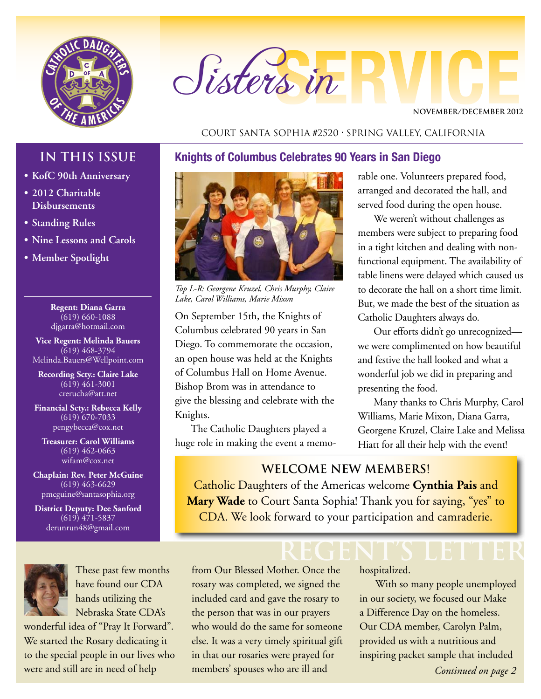

# Sisters in

**NOVEMBER/DECEMBER 2012**

#### Court Santa Sophia #2520 • Spring Valley, California

#### **Knights of Columbus Celebrates 90 Years in San Diego**

#### **• KofC 90th Anniversary**

**IN THIS ISSUE**

- **• 2012 Charitable Disbursements**
- **• Standing Rules**
- **• Nine Lessons and Carols**
- **• Member Spotlight**

**Regent: Diana Garra** (619) 660-1088 djgarra@hotmail.com

**Vice Regent: Melinda Bauers** (619) 468-3794 Melinda.Bauers@Wellpoint.com

**Recording Scty.: Claire Lake** (619) 461-3001 crerucha@att.net

**Financial Scty.: Rebecca Kelly** (619) 670-7033 pengybecca@cox.net

**Treasurer: Carol Williams**  $\overline{(619)}$  462-0663 wifam@cox.net

**Chaplain: Rev. Peter McGuine** (619) 463-6629 pmcguine@santasophia.org

**District Deputy: Dee Sanford** (619) 471-5837 derunrun48@gmail.com



These past few months have found our CDA hands utilizing the Nebraska State CDA's

wonderful idea of "Pray It Forward". We started the Rosary dedicating it to the special people in our lives who were and still are in need of help



*Top L-R: Georgene Kruzel, Chris Murphy, Claire Lake, Carol Williams, Marie Mixon*

On September 15th, the Knights of Columbus celebrated 90 years in San Diego. To commemorate the occasion, an open house was held at the Knights of Columbus Hall on Home Avenue. Bishop Brom was in attendance to give the blessing and celebrate with the Knights.

The Catholic Daughters played a huge role in making the event a memo-

rable one. Volunteers prepared food, arranged and decorated the hall, and served food during the open house.

We weren't without challenges as members were subject to preparing food in a tight kitchen and dealing with nonfunctional equipment. The availability of table linens were delayed which caused us to decorate the hall on a short time limit. But, we made the best of the situation as Catholic Daughters always do.

Our efforts didn't go unrecognized we were complimented on how beautiful and festive the hall looked and what a wonderful job we did in preparing and presenting the food.

Many thanks to Chris Murphy, Carol Williams, Marie Mixon, Diana Garra, Georgene Kruzel, Claire Lake and Melissa Hiatt for all their help with the event!

#### **Welcome NEW MEMBERS!**

Catholic Daughters of the Americas welcome **Cynthia Pais** and **Mary Wade** to Court Santa Sophia! Thank you for saying, "yes" to CDA. We look forward to your participation and camraderie.

**REGENT's LETTER** from Our Blessed Mother. Once the rosary was completed, we signed the included card and gave the rosary to the person that was in our prayers who would do the same for someone else. It was a very timely spiritual gift in that our rosaries were prayed for members' spouses who are ill and

hospitalized.

With so many people unemployed in our society, we focused our Make a Difference Day on the homeless. Our CDA member, Carolyn Palm, provided us with a nutritious and inspiring packet sample that included

*Continued on page 2*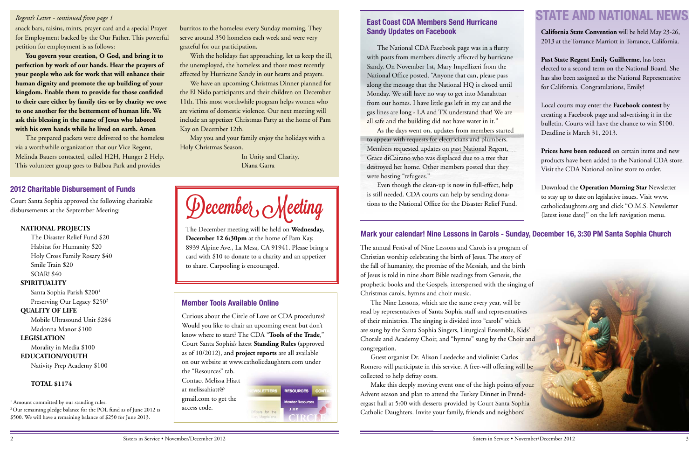snack bars, raisins, mints, prayer card and a special Prayer for Employment backed by the Our Father. This powerful petition for employment is as follows:

**You govern your creation, O God, and bring it to perfection by work of our hands. Hear the prayers of your people who ask for work that will enhance their human dignity and promote the up building of your kingdom. Enable them to provide for those confided to their care either by family ties or by charity we owe to one another for the betterment of human life. We ask this blessing in the name of Jesus who labored with his own hands while he lived on earth. Amen**

The prepared packets were delivered to the homeless via a worthwhile organization that our Vice Regent, Melinda Bauers contacted, called H2H, Hunger 2 Help. This volunteer group goes to Balboa Park and provides

burritos to the homeless every Sunday morning. They serve around 350 homeless each week and were very grateful for our participation.

With the holidays fast approaching, let us keep the ill, the unemployed, the homeless and those most recently affected by Hurricane Sandy in our hearts and prayers.

Santa Sophia Parish \$2001 Preserving Our Legacy \$250<sup>2</sup>

We have an upcoming Christmas Dinner planned for the El Nido participants and their children on December 11th. This most worthwhile program helps women who are victims of domestic violence. Our next meeting will include an appetizer Christmas Party at the home of Pam Kay on December 12th.

May you and your family enjoy the holidays with a Holy Christmas Season.

> In Unity and Charity, Diana Garra

December, Meeting

#### *Regent's Letter - continued from page 1*

Curious about the Circle of Love or CDA procedures? Would you like to chair an upcoming event but don't know where to start? The CDA "**Tools of the Trade**," Court Santa Sophia's latest **Standing Rules** (approved as of 10/2012), and **project reports** are all available on our website at [www.catholicdaughters.com](http://www.catholicdaughters.com) under the "Resources" tab.

Contact Melissa Hiatt at melissahiatt@ gmail.com to get the access code.



The December meeting will be held on **Wednesday, December 12 6:30pm** at the home of Pam Kay, 8939 Alpine Ave., La Mesa, CA 91941. Please bring a card with \$10 to donate to a charity and an appetizer to share. Carpooling is encouraged.

#### **2012 Charitable Disbursement of Funds**

#### **Member Tools Available Online**

Court Santa Sophia approved the following charitable disbursements at the September Meeting:

#### **NATIONAL PROJECTS**

The Disaster Relief Fund \$20 Habitat for Humanity \$20 Holy Cross Family Rosary \$40 Smile Train \$20 SOAR! \$40

#### **SPIRITUALITY**

#### **QUALITY OF LIFE**

Mobile Ultrasound Unit \$284

#### Madonna Manor \$100

**LEGISLATION**

Morality in Media \$100

#### **EDUCATION/YOUTH**

Nativity Prep Academy \$100

#### **TOTAL \$1174**

<sup>1</sup> Amount committed by our standing rules.

2 Our remaining pledge balance for the POL fund as of June 2012 is \$500. We will have a remaining balance of \$250 for June 2013.

The annual Festival of Nine Lessons and Carols is a program of Christian worship celebrating the birth of Jesus. The story of the fall of humanity, the promise of the Messiah, and the birth of Jesus is told in nine short Bible readings from Genesis, the prophetic books and the Gospels, interspersed with the singing of Christmas carols, hymns and choir music. read by representatives of Santa Sophia staff and representatives of their ministries. The singing is divided into "carols" which are sung by the Santa Sophia Singers, Liturgical Ensemble, Kids' Chorale and Academy Choir, and "hymns" sung by the Choir and congregation. Romero will participate in this service. A free-will offering will be collected to help defray costs. Advent season and plan to attend the Turkey Dinner in Prendergast hall at 5:00 with desserts provided by Court Santa Sophia Catholic Daughters. Invite your family, friends and neighbors!

The Nine Lessons, which are the same every year, will be Guest organist Dr. Alison Luedecke and violinist Carlos Make this deeply moving event one of the high points of your

### **Mark your calendar! Nine Lessons in Carols - Sunday, December 16, 3:30 PM Santa Sophia Church**

The National CDA Facebook page was in a flurry with posts from members directly affected by hurricane Sandy. On November 1st, Mary Impellizeri from the National Office posted, "Anyone that can, please pass along the message that the National HQ is closed until Monday. We still have no way to get into Manahttan from our homes. I have little gas left in my car and the gas lines are long - LA and TX understand that! We are all safe and the building did not have water in it."

As the days went on, updates from members started to appear with requests for electricians and plumbers. Members requested updates on past National Regent, Grace diCairano who was displaced due to a tree that destroyed her home. Other members posted that they were hosting "refugees."

Even though the clean-up is now in full-effect, help is still needed. CDA courts can help by sending donations to the National Office for the Disaster Relief Fund.

#### **East Coast CDA Members Send Hurricane Sandy Updates on Facebook**

## **STATE AND NATIONAL NEWS**

**California State Convention** will be held May 23-26, 2013 at the Torrance Marriott in Torrance, California.

**Past State Regent Emily Guilherme**, has been elected to a second term on the National Board. She has also been assigned as the National Representative for California. Congratulations, Emily!

Local courts may enter the **Facebook contest** by creating a Facebook page and advertising it in the bulletin. Courts will have the chance to win \$100. Deadline is March 31, 2013.

**Prices have been reduced** on certain items and new products have been added to the National CDA store. Visit the CDA National online store to order.

Download the **Operation Morning Star** Newsletter to stay up to date on legislative issues. Visit [www.](http://www.catholicdaughters.org) [catholicdaughters.org](http://www.catholicdaughters.org) and click "O.M.S. Newsletter {latest issue date}" on the left navigation menu.